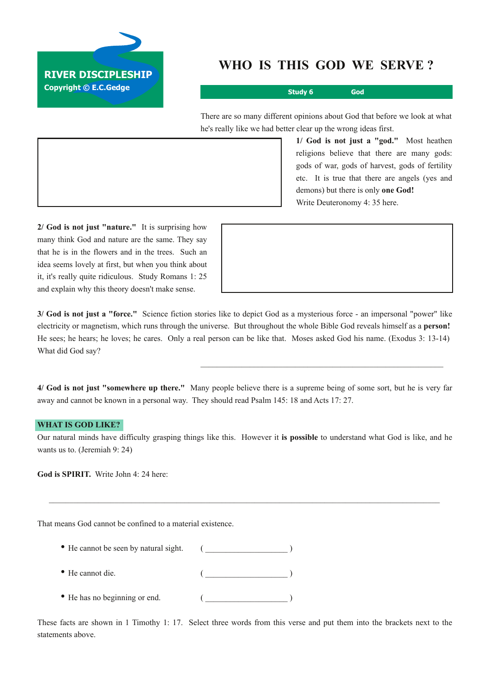

## **WHO IS THIS GOD WE SERVE ?**

**Study 6 God**

There are so many different opinions about God that before we look at what he's really like we had better clear up the wrong ideas first.

\_\_\_\_\_\_\_\_\_\_\_\_\_\_\_\_\_\_\_\_\_\_\_\_\_\_\_\_\_\_\_\_\_\_\_\_\_\_\_\_\_\_\_\_\_\_\_\_\_\_\_\_\_\_\_\_\_\_\_

**1/ God is not just a "god."** Most heathen religions believe that there are many gods: gods of war, gods of harvest, gods of fertility etc. It is true that there are angels (yes and demons) but there is only **one God!** Write Deuteronomy 4: 35 here.

**2/ God is not just "nature."** It is surprising how many think God and nature are the same. They say that he is in the flowers and in the trees. Such an idea seems lovely at first, but when you think about it, it's really quite ridiculous. Study Romans 1: 25 and explain why this theory doesn't make sense.

**3/ God is not just a "force."** Science fiction stories like to depict God as a mysterious force an impersonal "power" like electricity or magnetism, which runs through the universe. But throughout the whole Bible God reveals himself as a **person!** He sees; he hears; he loves; he cares. Only a real person can be like that. Moses asked God his name. (Exodus 3: 13-14) What did God say?

**4/ God is not just "somewhere up there."** Many people believe there is a supreme being of some sort, but he is very far away and cannot be known in a personal way. They should read Psalm 145: 18 and Acts 17: 27.

## **WHAT IS GOD LIKE?**

Our natural minds have difficulty grasping things like this. However it **is possible** to understand what God is like, and he wants us to. (Jeremiah 9: 24)

 $\mathcal{L}_\mathcal{L} = \{ \mathcal{L}_\mathcal{L} = \{ \mathcal{L}_\mathcal{L} = \{ \mathcal{L}_\mathcal{L} = \{ \mathcal{L}_\mathcal{L} = \{ \mathcal{L}_\mathcal{L} = \{ \mathcal{L}_\mathcal{L} = \{ \mathcal{L}_\mathcal{L} = \{ \mathcal{L}_\mathcal{L} = \{ \mathcal{L}_\mathcal{L} = \{ \mathcal{L}_\mathcal{L} = \{ \mathcal{L}_\mathcal{L} = \{ \mathcal{L}_\mathcal{L} = \{ \mathcal{L}_\mathcal{L} = \{ \mathcal{L}_\mathcal{$ 

**God is SPIRIT.** Write John 4: 24 here:

That means God cannot be confined to a material existence.

- He cannot be seen by natural sight.  $($ • He cannot die. (  $\qquad \qquad$  )
- He has no beginning or end.  $($

These facts are shown in 1 Timothy 1: 17. Select three words from this verse and put them into the brackets next to the statements above.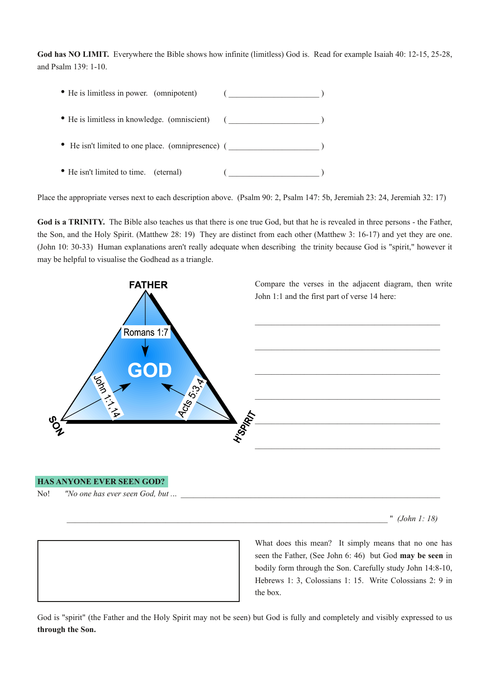God has NO LIMIT. Everywhere the Bible shows how infinite (limitless) God is. Read for example Isaiah 40: 12-15, 25-28, and Psalm 139: 1-10.

| • He is limitless in power. (omnipotent)          |  |
|---------------------------------------------------|--|
| • He is limitless in knowledge. (omniscient)      |  |
| • He isn't limited to one place. (omnipresence) ( |  |
| • He isn't limited to time. (eternal)             |  |

Place the appropriate verses next to each description above. (Psalm 90: 2, Psalm 147: 5b, Jeremiah 23: 24, Jeremiah 32: 17)

God is a TRINITY. The Bible also teaches us that there is one true God, but that he is revealed in three persons - the Father, the Son, and the Holy Spirit. (Matthew 28: 19) They are distinct from each other (Matthew 3: 1617) and yet they are one. (John 10: 30-33) Human explanations aren't really adequate when describing the trinity because God is "spirit," however it may be helpful to visualise the Godhead as a triangle.



## **HAS ANYONE EVER SEEN GOD?**

No! *"No* one has ever seen God, but ...

\_\_\_\_\_\_\_\_\_\_\_\_\_\_\_\_\_\_\_\_\_\_\_\_\_\_\_\_\_\_\_\_\_\_\_\_\_\_\_\_\_\_\_\_\_\_\_\_\_\_\_\_\_\_\_\_\_\_\_\_\_\_\_\_\_\_\_\_\_\_\_\_\_\_\_\_\_\_ " *(John 1: 18)*



What does this mean? It simply means that no one has seen the Father, (See John 6: 46) but God **may be seen** in bodily form through the Son. Carefully study John 14:8-10, Hebrews 1: 3, Colossians 1: 15. Write Colossians 2: 9 in the box.

God is "spirit" (the Father and the Holy Spirit may not be seen) but God is fully and completely and visibly expressed to us **through the Son.**